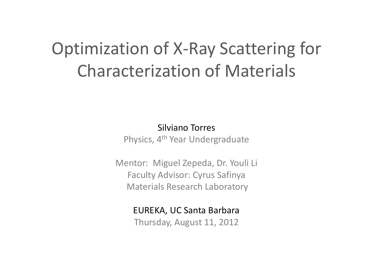## Optimization of X-Ray Scattering for Characterization of Materials

Silviano Torres

Physics, 4th Year Undergraduate

Mentor: Miguel Zepeda, Dr. Youli Li Faculty Advisor: Cyrus Safinya Materials Research Laboratory

EUREKA, UC Santa Barbara

Thursday, August 11, 2012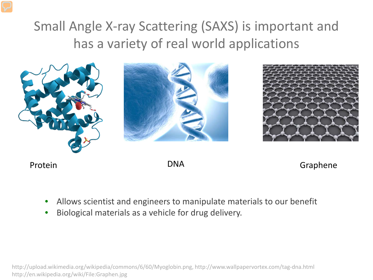### Small Angle X-ray Scattering (SAXS) is important and has a variety of real world applications



Protein **DNA** Brotein Craphene

- Allows scientist and engineers to manipulate materials to our benefit
- Biological materials as a vehicle for drug delivery.

http://upload.wikimedia.org/wikipedia/commons/6/60/Myoglobin.png, http://www.wallpapervortex.com/tag-dna.html http://en.wikipedia.org/wiki/File:Graphen.jpg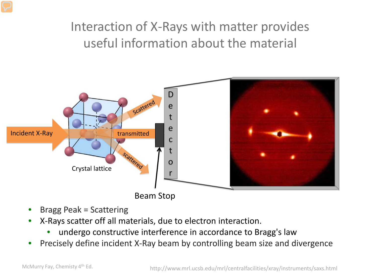#### Interaction of X-Rays with matter provides useful information about the material



- Bragg Peak = Scattering
- X-Rays scatter off all materials, due to electron interaction.
	- undergo constructive interference in accordance to Bragg's law
- Precisely define incident X-Ray beam by controlling beam size and divergence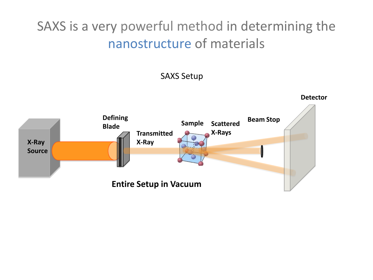SAXS is a very powerful method in determining the nanostructure of materials

SAXS Setup

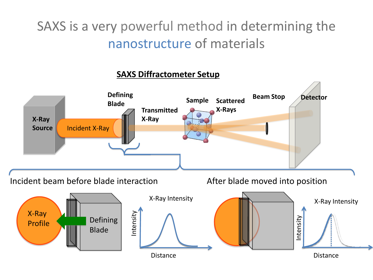SAXS is a very powerful method in determining the nanostructure of materials

#### **SAXS Diffractometer Setup**

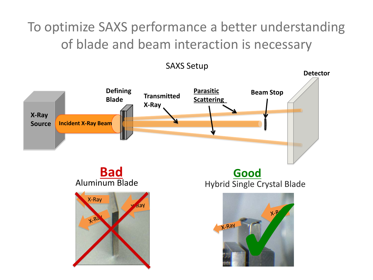To optimize SAXS performance a better understanding of blade and beam interaction is necessary

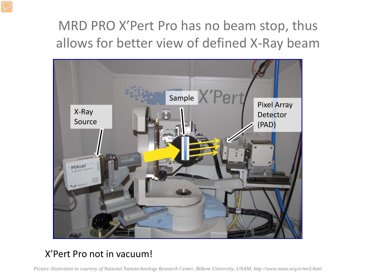### MRD PRO X'Pert Pro has no beam stop, thus allows for better view of defined X-Ray beam



#### X'Pert Pro not in vacuum!

*Picture illustration in courtesy of National Nanotechnology Research Center, Bilkent University, UNAM, http://www.nano.org.tr/mrd.html*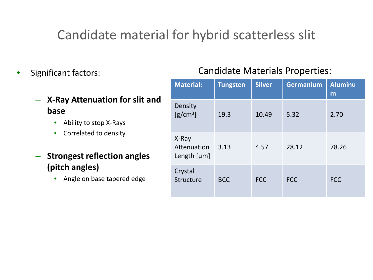#### Candidate material for hybrid scatterless slit

- Significant factors:
	- **X-Ray Attenuation for slit and base**
		- Ability to stop X-Rays
		- Correlated to density
	- **Strongest reflection angles (pitch angles)**
		- Angle on base tapered edge

#### Candidate Materials Properties:

| <b>Material:</b>                      | <b>Tungsten</b> | <b>Silver</b> | <b>Germanium</b> | <b>Aluminu</b><br>m |
|---------------------------------------|-----------------|---------------|------------------|---------------------|
| Density<br>$[g/cm^3]$                 | 19.3            | 10.49         | 5.32             | 2.70                |
| X-Ray<br>Attenuation<br>Length $[µm]$ | 3.13            | 4.57          | 28.12            | 78.26               |
| Crystal<br>Structure                  | <b>BCC</b>      | <b>FCC</b>    | <b>FCC</b>       | <b>FCC</b>          |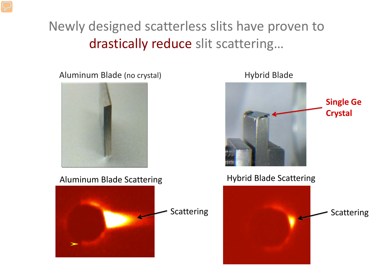### Newly designed scatterless slits have proven to drastically reduce slit scattering…

Aluminum Blade (no crystal) Manuel Aluminum Blade (no crystal)



Aluminum Blade Scattering **Hybrid Blade Scattering** 



**Single Ge Crystal**

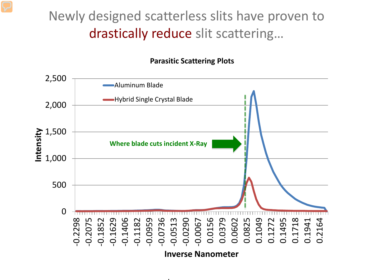#### Newly designed scatterless slits have proven to drastically reduce slit scattering…

#### **Parasitic Scattering Plots**



t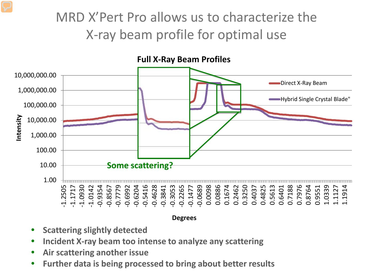### MRD X'Pert Pro allows us to characterize the X-ray beam profile for optimal use



**Degrees**

- **Scattering slightly detected**
- **Incident X-ray beam too intense to analyze any scattering**
- **Air scattering another issue**
- **Further data is being processed to bring about better results**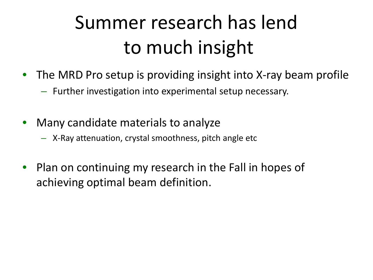## Summer research has lend to much insight

- The MRD Pro setup is providing insight into X-ray beam profile
	- Further investigation into experimental setup necessary.
- Many candidate materials to analyze
	- X-Ray attenuation, crystal smoothness, pitch angle etc
- Plan on continuing my research in the Fall in hopes of achieving optimal beam definition.